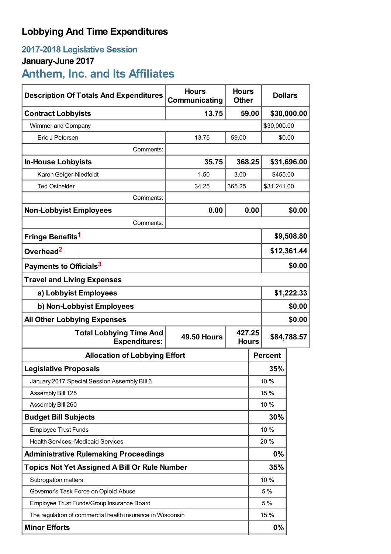## **Lobbying And Time Expenditures**

### **2017-2018 Legislative Session January-June 2017**

# **Anthem, Inc. and Its Affiliates**

| <b>Description Of Totals And Expenditures</b>              | <b>Hours</b><br>Communicating | <b>Hours</b><br><b>Other</b> |                | <b>Dollars</b> |        |  |
|------------------------------------------------------------|-------------------------------|------------------------------|----------------|----------------|--------|--|
| <b>Contract Lobbyists</b>                                  | 13.75                         |                              | 59.00          | \$30,000.00    |        |  |
| Wimmer and Company                                         |                               |                              |                | \$30,000.00    |        |  |
| Eric J Petersen                                            | 13.75                         | 59.00                        |                |                | \$0.00 |  |
| Comments:                                                  |                               |                              |                |                |        |  |
| <b>In-House Lobbyists</b>                                  | 35.75                         | 368.25                       |                | \$31,696.00    |        |  |
| Karen Geiger-Niedfeldt                                     | 1.50                          | 3.00                         |                | \$455.00       |        |  |
| <b>Ted Osthelder</b>                                       | 34.25                         | 365.25                       | \$31,241.00    |                |        |  |
| Comments:                                                  |                               |                              |                |                |        |  |
| <b>Non-Lobbyist Employees</b>                              | 0.00                          | 0.00                         |                | \$0.00         |        |  |
| Comments:                                                  |                               |                              |                |                |        |  |
| Fringe Benefits <sup>1</sup>                               |                               |                              |                | \$9,508.80     |        |  |
| Overhead <sup>2</sup>                                      |                               |                              |                | \$12,361.44    |        |  |
| Payments to Officials <sup>3</sup>                         |                               |                              |                | \$0.00         |        |  |
| <b>Travel and Living Expenses</b>                          |                               |                              |                |                |        |  |
| a) Lobbyist Employees                                      |                               |                              |                | \$1,222.33     |        |  |
| b) Non-Lobbyist Employees                                  |                               |                              |                | \$0.00         |        |  |
| \$0.00<br><b>All Other Lobbying Expenses</b>               |                               |                              |                |                |        |  |
| <b>Total Lobbying Time And</b><br><b>Expenditures:</b>     | 427.25<br><b>49.50 Hours</b>  |                              | <b>Hours</b>   | \$84,788.57    |        |  |
| <b>Allocation of Lobbying Effort</b>                       |                               |                              | <b>Percent</b> |                |        |  |
| <b>Legislative Proposals</b>                               |                               |                              |                | 35%            |        |  |
| January 2017 Special Session Assembly Bill 6               |                               |                              |                | 10 %           |        |  |
| Assembly Bill 125                                          |                               |                              | 15 %           |                |        |  |
| Assembly Bill 260                                          |                               |                              |                | 10 %           |        |  |
| <b>Budget Bill Subjects</b>                                |                               |                              | 30%            |                |        |  |
| <b>Employee Trust Funds</b>                                |                               |                              | 10 %           |                |        |  |
| <b>Health Services: Medicaid Services</b>                  |                               |                              | 20%            |                |        |  |
| <b>Administrative Rulemaking Proceedings</b>               |                               |                              |                | 0%             |        |  |
| <b>Topics Not Yet Assigned A Bill Or Rule Number</b>       |                               |                              |                | 35%            |        |  |
| Subrogation matters                                        |                               |                              |                | 10 %           |        |  |
| Governor's Task Force on Opioid Abuse                      |                               |                              |                | 5 %            |        |  |
| Employee Trust Funds/Group Insurance Board                 |                               |                              |                | 5 %            |        |  |
| The regulation of commercial health insurance in Wisconsin |                               |                              |                | 15 %           |        |  |
| <b>Minor Efforts</b>                                       |                               |                              |                | 0%             |        |  |